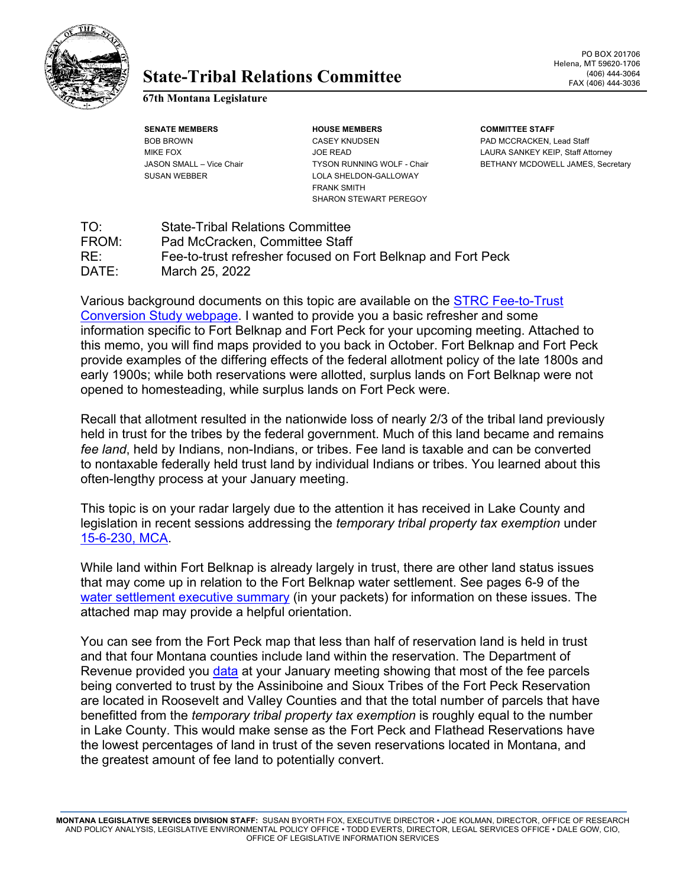

## State-Tribal Relations Committee **and EXAMPLE 1406** 444-3064

**67th Montana Legislature**

**SENATE MEMBERS HOUSE MEMBERS COMMITTEE STAFF** BOB BROWN CASEY KNUDSEN PAD MCCRACKEN, Lead Staff SUSAN WEBBER LOLA SHELDON-GALLOWAY FRANK SMITH SHARON STEWART PEREGOY

MIKE FOX **A CONSIDENT STAFF OF READ JOE READ LAURA SANKEY KEIP**, Staff Attorney JASON SMALL – Vice Chair TYSON RUNNING WOLF - Chair BETHANY MCDOWELL JAMES, Secretary

TO: State-Tribal Relations Committee FROM: Pad McCracken, Committee Staff RE: Fee-to-trust refresher focused on Fort Belknap and Fort Peck<br>DATE: March 25, 2022 March 25, 2022

Various background documents on this topic are available on the [STRC Fee-to-Trust](https://leg.mt.gov/committees/interim/strc/fee-trust-conversion/)  [Conversion Study webpage.](https://leg.mt.gov/committees/interim/strc/fee-trust-conversion/) I wanted to provide you a basic refresher and some information specific to Fort Belknap and Fort Peck for your upcoming meeting. Attached to this memo, you will find maps provided to you back in October. Fort Belknap and Fort Peck provide examples of the differing effects of the federal allotment policy of the late 1800s and early 1900s; while both reservations were allotted, surplus lands on Fort Belknap were not opened to homesteading, while surplus lands on Fort Peck were.

Recall that allotment resulted in the nationwide loss of nearly 2/3 of the tribal land previously held in trust for the tribes by the federal government. Much of this land became and remains *fee land*, held by Indians, non-Indians, or tribes. Fee land is taxable and can be converted to nontaxable federally held trust land by individual Indians or tribes. You learned about this often-lengthy process at your January meeting.

This topic is on your radar largely due to the attention it has received in Lake County and legislation in recent sessions addressing the *temporary tribal property tax exemption* under [15-6-230, MCA.](https://leg.mt.gov/bills/mca/title_0150/chapter_0060/part_0020/section_0300/0150-0060-0020-0300.html)

While land within Fort Belknap is already largely in trust, there are other land status issues that may come up in relation to the Fort Belknap water settlement. See pages 6-9 of the water settlement [executive summary](https://leg.mt.gov/content/Committees/Interim/2021-2022/State-Tribal-Relations/meetings/april-2022/FBIC-water-settlement-executive-summary-2021.pdf) (in your packets) for information on these issues. The attached map may provide a helpful orientation.

You can see from the Fort Peck map that less than half of reservation land is held in trust and that four Montana counties include land within the reservation. The Department of Revenue provided you [data](https://leg.mt.gov/content/Committees/Interim/2021-2022/State-Tribal-Relations/meetings/jan-2022/DOR-Temp-Tribal-Data.pdf) at your January meeting showing that most of the fee parcels being converted to trust by the Assiniboine and Sioux Tribes of the Fort Peck Reservation are located in Roosevelt and Valley Counties and that the total number of parcels that have benefitted from the *temporary tribal property tax exemption* is roughly equal to the number in Lake County. This would make sense as the Fort Peck and Flathead Reservations have the lowest percentages of land in trust of the seven reservations located in Montana, and the greatest amount of fee land to potentially convert.

**MONTANA LEGISLATIVE SERVICES DIVISION STAFF:** SUSAN BYORTH FOX, EXECUTIVE DIRECTOR • JOE KOLMAN, DIRECTOR, OFFICE OF RESEARCH AND POLICY ANALYSIS, LEGISLATIVE ENVIRONMENTAL POLICY OFFICE • TODD EVERTS, DIRECTOR, LEGAL SERVICES OFFICE • DALE GOW, CIO, OFFICE OF LEGISLATIVE INFORMATION SERVICES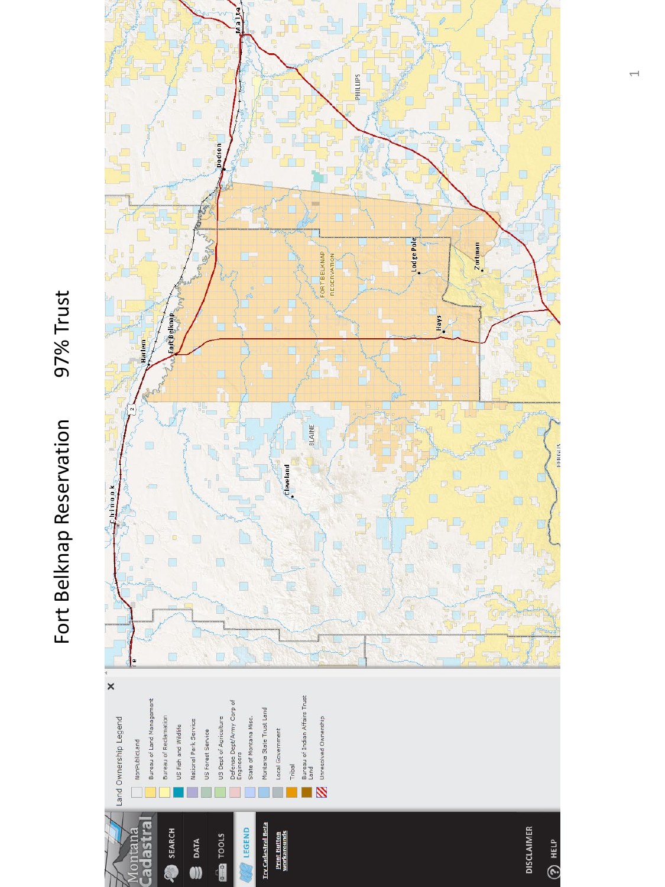## 97% Trust Fort Belknap Reservation 97% Trust Fort Belknap Reservation



 $\overline{\phantom{0}}$